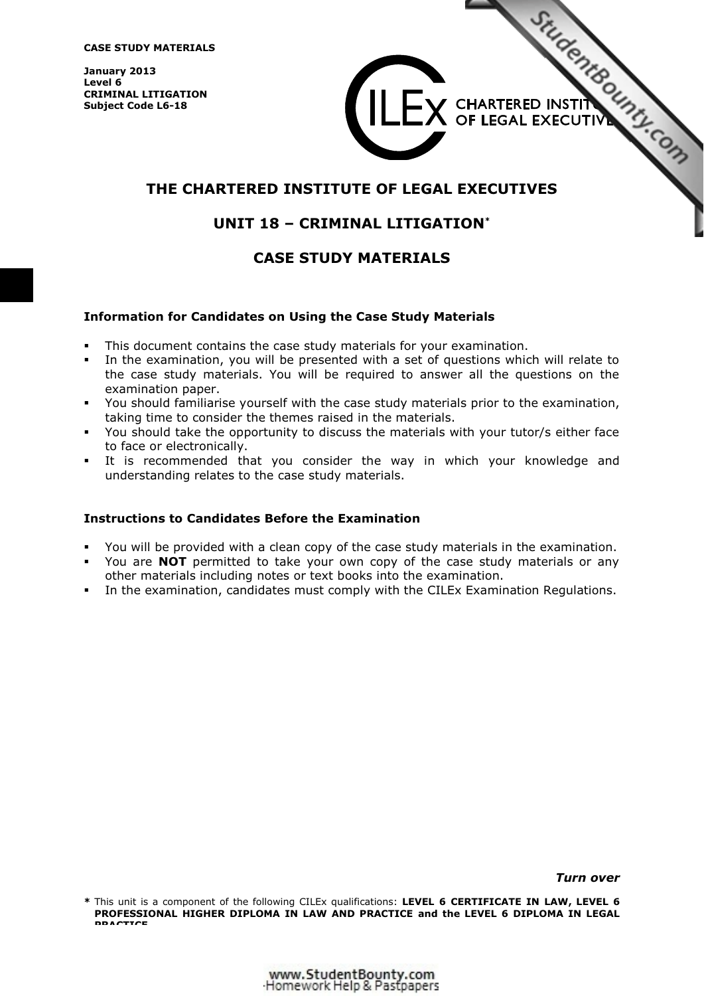**CASE STUDY MATERIALS** 

**January 2013 Level 6 CRIMINAL LITIGATION Subject Code L6-18** 



 $\mathsf{L}\mathsf{E}\mathsf{X}$  CHARTERED INSTITUTE

# **UNIT 18 – CRIMINAL LITIGATION\***

# **CASE STUDY MATERIALS**

#### **Information for Candidates on Using the Case Study Materials**

- -This document contains the case study materials for your examination.
- - In the examination, you will be presented with a set of questions which will relate to the case study materials. You will be required to answer all the questions on the examination paper.
- You should familiarise yourself with the case study materials prior to the examination, taking time to consider the themes raised in the materials.
- - You should take the opportunity to discuss the materials with your tutor/s either face to face or electronically.
- - It is recommended that you consider the way in which your knowledge and understanding relates to the case study materials.

#### **Instructions to Candidates Before the Examination**

- -You will be provided with a clean copy of the case study materials in the examination.
- - You are **NOT** permitted to take your own copy of the case study materials or any other materials including notes or text books into the examination.
- -In the examination, candidates must comply with the CILEx Examination Regulations.

*Turn over* 

**<sup>\*</sup>** This unit is a component of the following CILEx qualifications: **LEVEL 6 CERTIFICATE IN LAW, LEVEL 6 PROFESSIONAL HIGHER DIPLOMA IN LAW AND PRACTICE and the LEVEL 6 DIPLOMA IN LEGAL PRACTICE**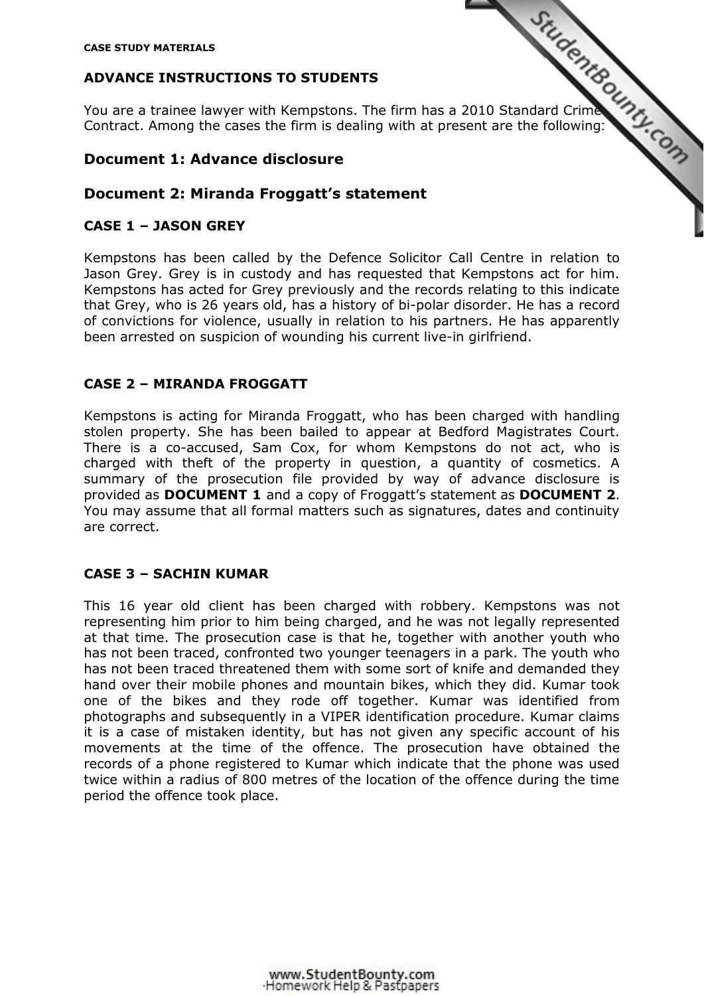# **ADVANCE INSTRUCTIONS TO STUDENTS**

CASE STUDY MATERIALS<br>
You are a trainee lawyer with Kempstons. The firm has a 2010 Standard Crime<br>
Among the cases the firm is dealing with at present are the following:<br>
Among the cases the firm is dealing with at present Contract. Among the cases the firm is dealing with at present are the following:

### **Document 1: Advance disclosure**

## **Document 2: Miranda Froggatt's statement**

## **CASE 1 – JASON GREY**

Kempstons has been called by the Defence Solicitor Call Centre in relation to Jason Grey. Grey is in custody and has requested that Kempstons act for him. Kempstons has acted for Grey previously and the records relating to this indicate that Grey, who is 26 years old, has a history of bi-polar disorder. He has a record of convictions for violence, usually in relation to his partners. He has apparently been arrested on suspicion of wounding his current live-in girlfriend.

### **CASE 2 – MIRANDA FROGGATT**

Kempstons is acting for Miranda Froggatt, who has been charged with handling stolen property. She has been bailed to appear at Bedford Magistrates Court. There is a co-accused, Sam Cox, for whom Kempstons do not act, who is charged with theft of the property in question, a quantity of cosmetics. A summary of the prosecution file provided by way of advance disclosure is provided as **DOCUMENT 1** and a copy of Froggatt's statement as **DOCUMENT 2**. You may assume that all formal matters such as signatures, dates and continuity are correct.

## **CASE 3 – SACHIN KUMAR**

This 16 year old client has been charged with robbery. Kempstons was not representing him prior to him being charged, and he was not legally represented at that time. The prosecution case is that he, together with another youth who has not been traced, confronted two younger teenagers in a park. The youth who has not been traced threatened them with some sort of knife and demanded they hand over their mobile phones and mountain bikes, which they did. Kumar took one of the bikes and they rode off together. Kumar was identified from photographs and subsequently in a VIPER identification procedure. Kumar claims it is a case of mistaken identity, but has not given any specific account of his movements at the time of the offence. The prosecution have obtained the records of a phone registered to Kumar which indicate that the phone was used twice within a radius of 800 metres of the location of the offence during the time period the offence took place.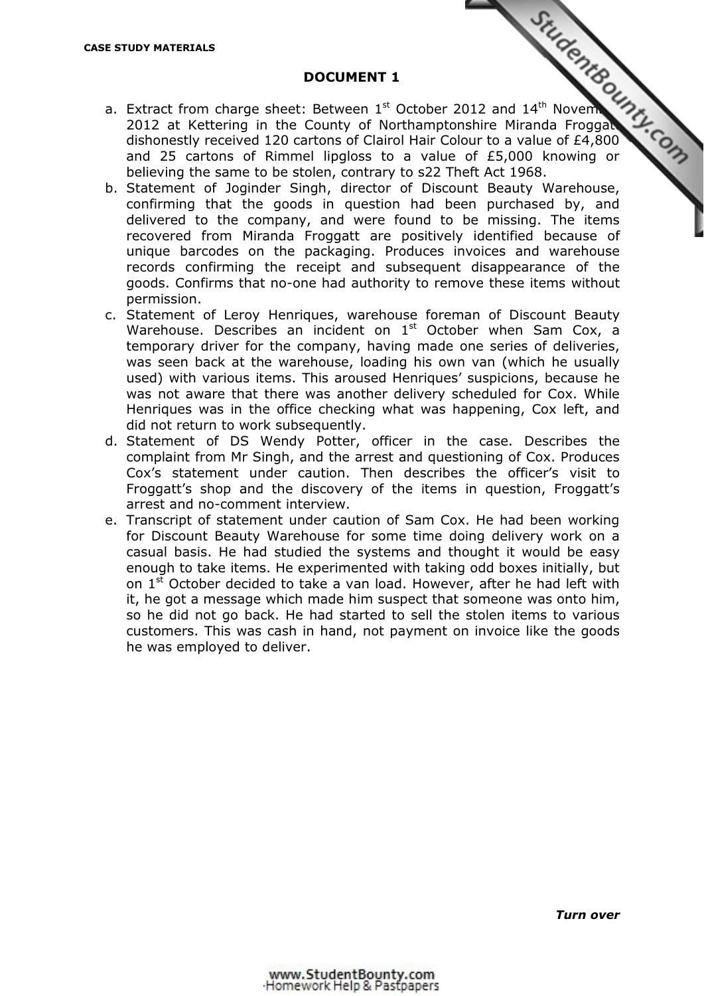#### **DOCUMENT 1**

- **BE STUDY MATERIALS**<br> **BOCUMENT 1**<br> **a.** Extract from charge sheet: Between 1st October 2012 and 14<sup>th</sup> November 1st October 2012 and 14<sup>th</sup> November 1st Act<br> **a.** Extract from charge sheet: Between 1st October 2012 and 1 2012 at Kettering in the County of Northamptonshire Miranda Froggatt dishonestly received 120 cartons of Clairol Hair Colour to a value of £4,800 and 25 cartons of Rimmel lipgloss to a value of £5,000 knowing or believing the same to be stolen, contrary to s22 Theft Act 1968.
- b. Statement of Joginder Singh, director of Discount Beauty Warehouse, confirming that the goods in question had been purchased by, and delivered to the company, and were found to be missing. The items recovered from Miranda Froggatt are positively identified because of unique barcodes on the packaging. Produces invoices and warehouse records confirming the receipt and subsequent disappearance of the goods. Confirms that no-one had authority to remove these items without permission.
- c. Statement of Leroy Henriques, warehouse foreman of Discount Beauty Warehouse. Describes an incident on  $1<sup>st</sup>$  October when Sam Cox, a temporary driver for the company, having made one series of deliveries, was seen back at the warehouse, loading his own van (which he usually used) with various items. This aroused Henriques' suspicions, because he was not aware that there was another delivery scheduled for Cox. While Henriques was in the office checking what was happening, Cox left, and did not return to work subsequently.
- d. Statement of DS Wendy Potter, officer in the case. Describes the complaint from Mr Singh, and the arrest and questioning of Cox. Produces Cox's statement under caution. Then describes the officer's visit to Froggatt's shop and the discovery of the items in question, Froggatt's arrest and no-comment interview.
- e. Transcript of statement under caution of Sam Cox. He had been working for Discount Beauty Warehouse for some time doing delivery work on a casual basis. He had studied the systems and thought it would be easy enough to take items. He experimented with taking odd boxes initially, but on  $1^{\text{st}}$  October decided to take a van load. However, after he had left with it, he got a message which made him suspect that someone was onto him, so he did not go back. He had started to sell the stolen items to various customers. This was cash in hand, not payment on invoice like the goods he was employed to deliver.

*Turn over*